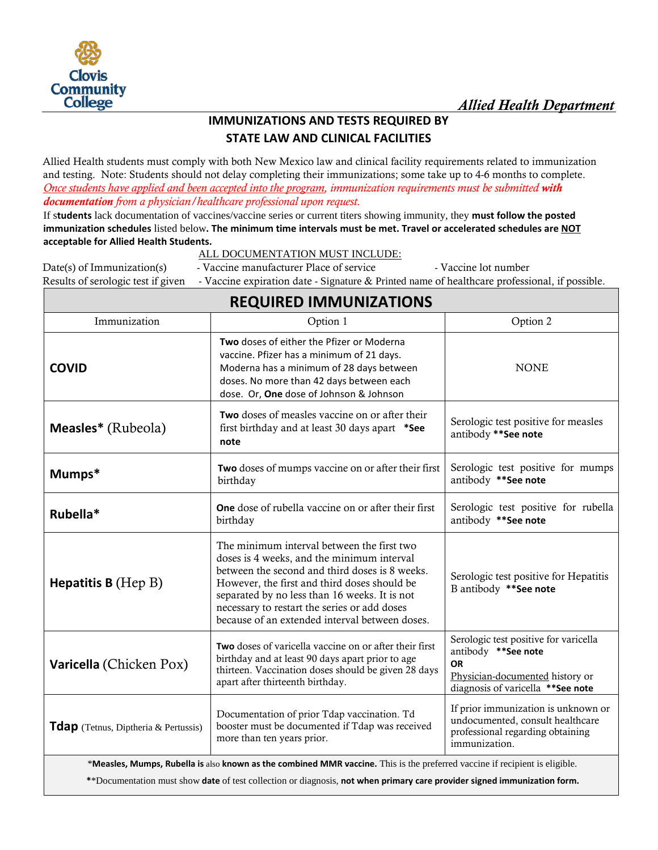

# **IMMUNIZATIONS AND TESTS REQUIRED BY STATE LAW AND CLINICAL FACILITIES**

Allied Health students must comply with both New Mexico law and clinical facility requirements related to immunization and testing. Note: Students should not delay completing their immunizations; some take up to 4-6 months to complete. *Once students have applied and been accepted into the program, immunization requirements must be submitted with documentation from a physician/healthcare professional upon request.* 

If s**tudents** lack documentation of vaccines/vaccine series or current titers showing immunity, they **must follow the posted immunization schedules** listed below**. The minimum time intervals must be met. Travel or accelerated schedules are NOT acceptable for Allied Health Students.** 

**REQUIRED IMMUNIZATIONS**

# ALL DOCUMENTATION MUST INCLUDE:

Date(s) of Immunization(s) - Vaccine manufacturer Place of service - Vaccine lot number

Results of serologic test if given - Vaccine expiration date - Signature & Printed name of healthcare professional, if possible.

| KLQUIKLD ININIUNILATIONJ                                                                                                    |                                                                                                                                                                                                                                                                                                                                               |                                                                                                                                                     |
|-----------------------------------------------------------------------------------------------------------------------------|-----------------------------------------------------------------------------------------------------------------------------------------------------------------------------------------------------------------------------------------------------------------------------------------------------------------------------------------------|-----------------------------------------------------------------------------------------------------------------------------------------------------|
| Immunization                                                                                                                | Option 1                                                                                                                                                                                                                                                                                                                                      | Option 2                                                                                                                                            |
| <b>COVID</b>                                                                                                                | Two doses of either the Pfizer or Moderna<br>vaccine. Pfizer has a minimum of 21 days.<br>Moderna has a minimum of 28 days between<br>doses. No more than 42 days between each<br>dose. Or, One dose of Johnson & Johnson                                                                                                                     | <b>NONE</b>                                                                                                                                         |
| Measles* (Rubeola)                                                                                                          | Two doses of measles vaccine on or after their<br>first birthday and at least 30 days apart *See<br>note                                                                                                                                                                                                                                      | Serologic test positive for measles<br>antibody ** See note                                                                                         |
| Mumps*                                                                                                                      | Two doses of mumps vaccine on or after their first<br>birthday                                                                                                                                                                                                                                                                                | Serologic test positive for mumps<br>antibody ** See note                                                                                           |
| Rubella*                                                                                                                    | <b>One</b> dose of rubella vaccine on or after their first<br>birthday                                                                                                                                                                                                                                                                        | Serologic test positive for rubella<br>antibody ** See note                                                                                         |
| <b>Hepatitis B</b> (Hep B)                                                                                                  | The minimum interval between the first two<br>doses is 4 weeks, and the minimum interval<br>between the second and third doses is 8 weeks.<br>However, the first and third doses should be<br>separated by no less than 16 weeks. It is not<br>necessary to restart the series or add doses<br>because of an extended interval between doses. | Serologic test positive for Hepatitis<br>B antibody ** See note                                                                                     |
| <b>Varicella</b> (Chicken Pox)                                                                                              | Two doses of varicella vaccine on or after their first<br>birthday and at least 90 days apart prior to age<br>thirteen. Vaccination doses should be given 28 days<br>apart after thirteenth birthday.                                                                                                                                         | Serologic test positive for varicella<br>antibody ** See note<br><b>OR</b><br>Physician-documented history or<br>diagnosis of varicella ** See note |
| <b>Tdap</b> (Tetnus, Diptheria & Pertussis)                                                                                 | Documentation of prior Tdap vaccination. Td<br>booster must be documented if Tdap was received<br>more than ten years prior.                                                                                                                                                                                                                  | If prior immunization is unknown or<br>undocumented, consult healthcare<br>professional regarding obtaining<br>immunization.                        |
| *Measles, Mumps, Rubella is also known as the combined MMR vaccine. This is the preferred vaccine if recipient is eligible. |                                                                                                                                                                                                                                                                                                                                               |                                                                                                                                                     |

**\***\*Documentation must show **date** of test collection or diagnosis, **not when primary care provider signed immunization form.**